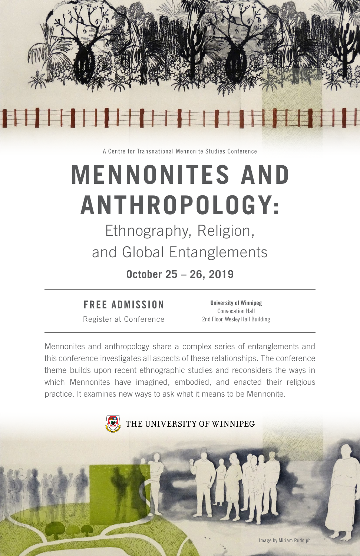

A Centre for Transnational Mennonite Studies Conference

# **MENNONITES AND ANTHROPOLOGY:**

Ethnography, Religion, and Global Entanglements

**October 25 – 26, 2019**

# FREE ADMISSION

Register at Conference

University of Winnipeg Convocation Hall 2nd Floor, Wesley Hall Building

Mennonites and anthropology share a complex series of entanglements and this conference investigates all aspects of these relationships. The conference theme builds upon recent ethnographic studies and reconsiders the ways in which Mennonites have imagined, embodied, and enacted their religious practice. It examines new ways to ask what it means to be Mennonite.

THE UNIVERSITY OF WINNIPEG Image by Miriam Rudolph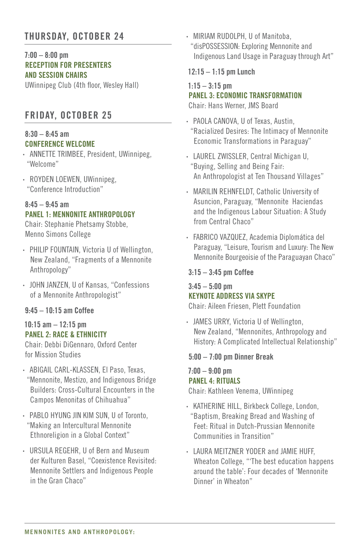# THURSDAY, OCTOBER 24

#### $7:00 - 8:00$  pm RECEPTION FOR PRESENTERS AND SESSION CHAIRS

UWinnipeg Club (4th floor, Wesley Hall)

# FRIDAY, OCTOBER 25

## 8:30 – 8:45 am CONFERENCE WELCOME

- ANNETTE TRIMBEE, President, UWinnipeg, "Welcome"
- ROYDEN LOEWEN, UWinnipeg, "Conference Introduction"

# $8.45 - 9.45$  am PANEL 1: MENNONITE ANTHROPOLOGY

Chair: Stephanie Phetsamy Stobbe, Menno Simons College

- PHILIP FOUNTAIN, Victoria U of Wellington, New Zealand, "Fragments of a Mennonite Anthropology"
- JOHN JANZEN, U of Kansas, "Confessions of a Mennonite Anthropologist"

#### 9:45 – 10:15 am Coffee

### 10:15 am – 12:15 pm PANEL 2: RACE & ETHNICITY

Chair: Debbi DiGennaro, Oxford Center for Mission Studies

- ABIGAIL CARL-KLASSEN, El Paso, Texas, "Mennonite, Mestizo, and Indigenous Bridge Builders: Cross-Cultural Encounters in the Campos Menonitas of Chihuahua"
- PABLO HYUNG JIN KIM SUN, U of Toronto, "Making an Intercultural Mennonite Ethnoreligion in a Global Context"
- URSULA REGEHR, U of Bern and Museum der Kulturen Basel, "Coexistence Revisited: Mennonite Settlers and Indigenous People in the Gran Chaco"

• MIRIAM RUDOLPH, U of Manitoba, "disPOSSESSION: Exploring Mennonite and Indigenous Land Usage in Paraguay through Art"

#### 12:15 – 1:15 pm Lunch

#### $1:15 - 3:15$  pm

PANEL 3: ECONOMIC TRANSFORMATION

Chair: Hans Werner, JMS Board

- PAOLA CANOVA, U of Texas, Austin, "Racialized Desires: The Intimacy of Mennonite Economic Transformations in Paraguay"
- LAUREL ZWISSLER, Central Michigan U, "Buying, Selling and Being Fair: An Anthropologist at Ten Thousand Villages"
- MARILIN REHNFELDT, Catholic University of Asuncion, Paraguay, "Mennonite Haciendas and the Indigenous Labour Situation: A Study from Central Chaco"
- FABRICO VAZQUEZ, Academia Diplomática del Paraguay, "Leisure, Tourism and Luxury: The New Mennonite Bourgeoisie of the Paraguayan Chaco"

#### 3:15 – 3:45 pm Coffee

# $3:45 - 5:00$  pm KEYNOTE ADDRESS VIA SKYPE

Chair: Aileen Friesen, Plett Foundation

• JAMES URRY, Victoria U of Wellington, New Zealand, "Mennonites, Anthropology and History: A Complicated Intellectual Relationship"

#### 5:00 – 7:00 pm Dinner Break

#### 7:00 – 9:00 pm PANEL 4: RITUALS

Chair: Kathleen Venema, UWinnipeg

- KATHERINE HILL, Birkbeck College, London, "Baptism, Breaking Bread and Washing of Feet: Ritual in Dutch-Prussian Mennonite Communities in Transition"
- LAURA MEITZNER YODER and JAMIE HUFF, Wheaton College, "'The best education happens around the table': Four decades of 'Mennonite Dinner' in Wheaton"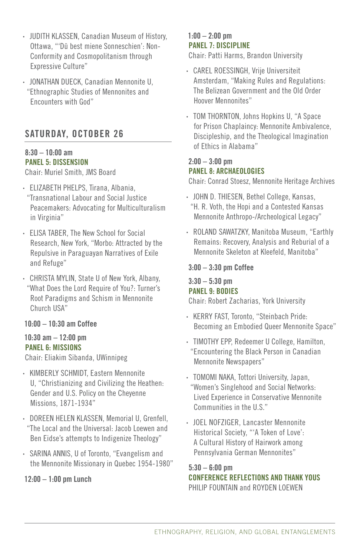- JUDITH KLASSEN, Canadian Museum of History, Ottawa, "'Dü best miene Sonneschien': Non-Conformity and Cosmopolitanism through Expressive Culture"
- JONATHAN DUECK, Canadian Mennonite U, "Ethnographic Studies of Mennonites and Encounters with God"

# SATURDAY, OCTOBER 26

#### 8:30 – 10:00 am PANEL 5: DISSENSION

Chair: Muriel Smith, JMS Board

- ELIZABETH PHELPS, Tirana, Albania, "Transnational Labour and Social Justice Peacemakers: Advocating for Multiculturalism in Virginia"
- ELISA TABER, The New School for Social Research, New York, "Morbo: Attracted by the Repulsive in Paraguayan Narratives of Exile and Refuge"
- CHRISTA MYLIN, State U of New York, Albany, "What Does the Lord Require of You?: Turner's Root Paradigms and Schism in Mennonite Church USA"

#### 10:00 – 10:30 am Coffee

#### $10:30$  am  $-12:00$  pm PANEL 6: MISSIONS

Chair: Eliakim Sibanda, UWinnipeg

- KIMBERLY SCHMIDT, Eastern Mennonite U, "Christianizing and Civilizing the Heathen: Gender and U.S. Policy on the Cheyenne Missions, 1871-1934"
- DOREEN HELEN KLASSEN, Memorial U, Grenfell, "The Local and the Universal: Jacob Loewen and Ben Eidse's attempts to Indigenize Theology"
- SARINA ANNIS, U of Toronto, "Evangelism and the Mennonite Missionary in Quebec 1954-1980"

## $12:00 - 1:00$  pm Lunch

## 1:00 – 2:00 pm PANEL 7: DISCIPLINE

Chair: Patti Harms, Brandon University

- CAREL ROESSINGH, Vrije Universiteit Amsterdam, "Making Rules and Regulations: The Belizean Government and the Old Order Hoover Mennonites"
- TOM THORNTON, Johns Hopkins U, "A Space for Prison Chaplaincy: Mennonite Ambivalence, Discipleship, and the Theological Imagination of Ethics in Alabama"

# $2:00 - 3:00$  pm PANEL 8: ARCHAEOLOGIES

Chair: Conrad Stoesz, Mennonite Heritage Archives

- JOHN D. THIESEN, Bethel College, Kansas, "H. R. Voth, the Hopi and a Contested Kansas Mennonite Anthropo-/Archeological Legacy"
- ROLAND SAWATZKY, Manitoba Museum, "Earthly Remains: Recovery, Analysis and Reburial of a Mennonite Skeleton at Kleefeld, Manitoba"

## 3:00 – 3:30 pm Coffee

## $3:30 - 5:30$  pm PANEL 9: BODIES

Chair: Robert Zacharias, York University

- KERRY FAST, Toronto, "Steinbach Pride: Becoming an Embodied Queer Mennonite Space"
- TIMOTHY EPP, Redeemer U College, Hamilton, "Encountering the Black Person in Canadian Mennonite Newspapers"
- TOMOMI NAKA, Tottori University, Japan, "Women's Singlehood and Social Networks: Lived Experience in Conservative Mennonite Communities in the U.S."
- JOEL NOFZIGER, Lancaster Mennonite Historical Society, "'A Token of Love': A Cultural History of Hairwork among Pennsylvania German Mennonites"

5:30 – 6:00 pm CONFERENCE REFLECTIONS AND THANK YOUS PHILIP FOUNTAIN and ROYDEN LOEWEN